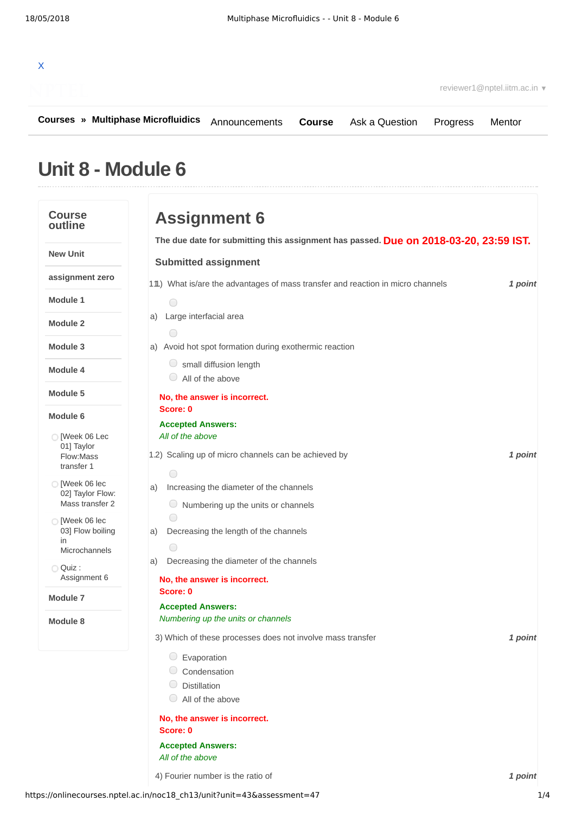| $\mathsf{x}$ |     |  |  |
|--------------|-----|--|--|
|              | e K |  |  |

**[Courses](https://onlinecourses.nptel.ac.in/) » [Multiphase Microfluidics](https://onlinecourses.nptel.ac.in/noc18_ch13/course)**

**[Course](https://onlinecourses.nptel.ac.in/noc18_ch13/course)** [Ask a Question](https://onlinecourses.nptel.ac.in/noc18_ch13/forum) [Progress](https://onlinecourses.nptel.ac.in/noc18_ch13/student/home) [Mentor](https://onlinecourses.nptel.ac.in/noc18_ch13/student/mentor)

## **Unit 8 - Module 6**

| <b>Course</b><br>outline                                                                                                                                                                                                                   | <b>Assignment 6</b>                                                                                                                                                                                                                                                                                                                                                                                                                         |         |
|--------------------------------------------------------------------------------------------------------------------------------------------------------------------------------------------------------------------------------------------|---------------------------------------------------------------------------------------------------------------------------------------------------------------------------------------------------------------------------------------------------------------------------------------------------------------------------------------------------------------------------------------------------------------------------------------------|---------|
|                                                                                                                                                                                                                                            | The due date for submitting this assignment has passed. Due on 2018-03-20, 23:59 IST.                                                                                                                                                                                                                                                                                                                                                       |         |
| <b>New Unit</b>                                                                                                                                                                                                                            | <b>Submitted assignment</b>                                                                                                                                                                                                                                                                                                                                                                                                                 |         |
| assignment zero                                                                                                                                                                                                                            | 11) What is/are the advantages of mass transfer and reaction in micro channels                                                                                                                                                                                                                                                                                                                                                              | 1 point |
| Module 1                                                                                                                                                                                                                                   | $\bigcirc$                                                                                                                                                                                                                                                                                                                                                                                                                                  |         |
| Module 2                                                                                                                                                                                                                                   | Large interfacial area<br>a)<br>∩                                                                                                                                                                                                                                                                                                                                                                                                           |         |
| Module 3                                                                                                                                                                                                                                   | a) Avoid hot spot formation during exothermic reaction                                                                                                                                                                                                                                                                                                                                                                                      |         |
| Module 4                                                                                                                                                                                                                                   | small diffusion length<br>All of the above                                                                                                                                                                                                                                                                                                                                                                                                  |         |
| Module 5                                                                                                                                                                                                                                   | No, the answer is incorrect.<br>Score: 0                                                                                                                                                                                                                                                                                                                                                                                                    |         |
| Module 6<br>◯ Meek 06 Lec<br>01] Taylor<br>Flow: Mass<br>transfer 1<br>◯ [Week 06 lec<br>02] Taylor Flow:<br>Mass transfer 2<br>◯ [Week 06 lec<br>03] Flow boiling<br>in<br>Microchannels<br>$\bigcirc$ Quiz :<br>Assignment 6<br>Module 7 | <b>Accepted Answers:</b><br>All of the above<br>1.2) Scaling up of micro channels can be achieved by<br>∩<br>Increasing the diameter of the channels<br>a)<br>Numbering up the units or channels<br>$\cup$<br>∩<br>Decreasing the length of the channels<br>a)<br>$\bigcirc$<br>Decreasing the diameter of the channels<br>a)<br>No, the answer is incorrect.<br>Score: 0<br><b>Accepted Answers:</b><br>Numbering up the units or channels | 1 point |
| Module 8                                                                                                                                                                                                                                   | 3) Which of these processes does not involve mass transfer<br>$\circ$ Evaporation<br>Condensation<br>$\bigcirc$ Distillation<br>$\bigcirc$ All of the above<br>No, the answer is incorrect.<br>Score: 0<br><b>Accepted Answers:</b><br>All of the above                                                                                                                                                                                     | 1 point |
|                                                                                                                                                                                                                                            | 4) Fourier number is the ratio of                                                                                                                                                                                                                                                                                                                                                                                                           | 1 point |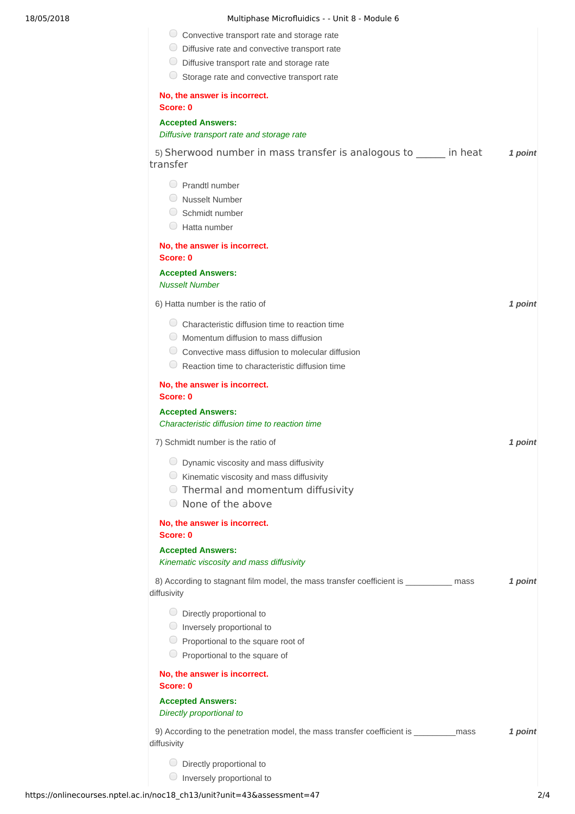| Multiphase Microfluidics - - Unit 8 - Module 6                        |
|-----------------------------------------------------------------------|
| Convective transport rate and storage rate                            |
| Diffusive rate and convective transport rate                          |
| Diffusive transport rate and storage rate                             |
| Storage rate and convective transport rate                            |
| No, the answer is incorrect.<br>Score: 0                              |
| <b>Accepted Answers:</b><br>Diffusive transport rate and storage rate |
| 5) Sherwood number in mass transfer is analogous to<br>transfer       |
| Prandtl number<br>Nusselt Number                                      |

| NO, the answer is incorrect.<br>Score: 0                                                                                                                                                                                    |         |
|-----------------------------------------------------------------------------------------------------------------------------------------------------------------------------------------------------------------------------|---------|
| <b>Accepted Answers:</b><br>Diffusive transport rate and storage rate                                                                                                                                                       |         |
| 5) Sherwood number in mass transfer is analogous to _______ in heat<br>transfer                                                                                                                                             | 1 point |
| $\bigcirc$ Prandtl number<br>◯ Nusselt Number<br>$\bigcirc$ Schmidt number                                                                                                                                                  |         |
| $\cup$<br>Hatta number                                                                                                                                                                                                      |         |
| No, the answer is incorrect.<br>Score: 0                                                                                                                                                                                    |         |
| <b>Accepted Answers:</b><br><b>Nusselt Number</b>                                                                                                                                                                           |         |
| 6) Hatta number is the ratio of                                                                                                                                                                                             | 1 point |
| C Characteristic diffusion time to reaction time<br>$\bigcirc$ Momentum diffusion to mass diffusion<br>$\circ$ Convective mass diffusion to molecular diffusion<br>$\cup$<br>Reaction time to characteristic diffusion time |         |
| No, the answer is incorrect.<br>Score: 0                                                                                                                                                                                    |         |
| <b>Accepted Answers:</b><br>Characteristic diffusion time to reaction time                                                                                                                                                  |         |
| 7) Schmidt number is the ratio of                                                                                                                                                                                           | 1 point |
| $\bigcirc$ Dynamic viscosity and mass diffusivity<br>$\bigcirc$ Kinematic viscosity and mass diffusivity<br>◯ Thermal and momentum diffusivity<br>◯ None of the above                                                       |         |
| No, the answer is incorrect.<br>Score: 0                                                                                                                                                                                    |         |
| <b>Accepted Answers:</b><br>Kinematic viscosity and mass diffusivity                                                                                                                                                        |         |
| 8) According to stagnant film model, the mass transfer coefficient is ___________ mass<br>diffusivity                                                                                                                       | 1 point |
| $\bigcirc$ Directly proportional to<br>$\bigcirc$ Inversely proportional to<br>$\circ$ Proportional to the square root of<br>Proportional to the square of                                                                  |         |
| No, the answer is incorrect.<br>Score: 0                                                                                                                                                                                    |         |
| <b>Accepted Answers:</b><br>Directly proportional to                                                                                                                                                                        |         |
| 9) According to the penetration model, the mass transfer coefficient is ____________ mass<br>diffusivity                                                                                                                    | 1 point |
| Directly proportional to                                                                                                                                                                                                    |         |

**Inversely proportional to**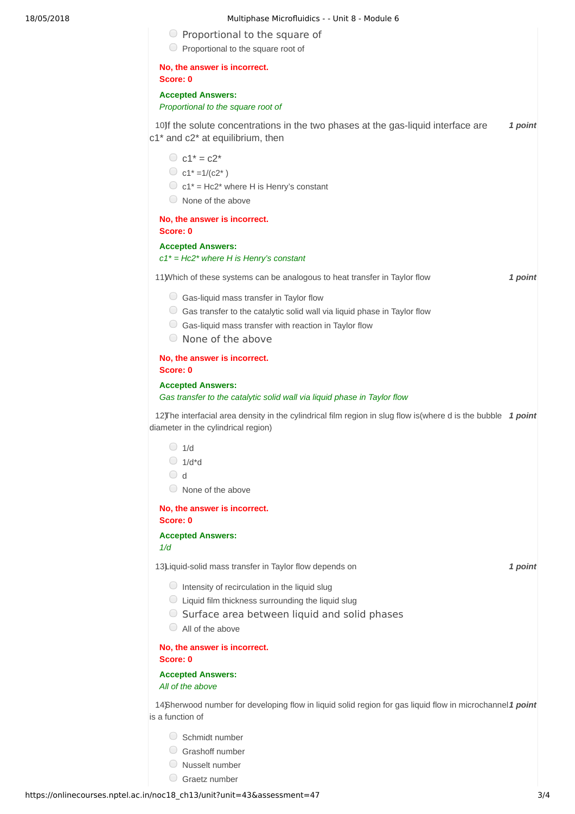| Multiphase Microfluidics - - Unit 8 - Module 6 |  |  |
|------------------------------------------------|--|--|
|------------------------------------------------|--|--|

 $\circ$  Proportional to the square of

| $\bigcirc$ Proportional to the square root of                                                                                                                                                                               |         |
|-----------------------------------------------------------------------------------------------------------------------------------------------------------------------------------------------------------------------------|---------|
| No, the answer is incorrect.<br>Score: 0                                                                                                                                                                                    |         |
| <b>Accepted Answers:</b><br>Proportional to the square root of                                                                                                                                                              |         |
| 10) f the solute concentrations in the two phases at the gas-liquid interface are<br>c1* and c2* at equilibrium, then                                                                                                       | 1 point |
| $C_1^* = c2^*$<br>C $c1^* = 1/(c2^*)$<br>$\bigcirc$ c1 <sup>*</sup> = Hc2 <sup>*</sup> where H is Henry's constant<br>$\Box$ None of the above                                                                              |         |
| No, the answer is incorrect.<br>Score: 0                                                                                                                                                                                    |         |
| <b>Accepted Answers:</b><br>$c1^*$ = Hc2* where H is Henry's constant                                                                                                                                                       |         |
| 11) Which of these systems can be analogous to heat transfer in Taylor flow                                                                                                                                                 | 1 point |
| $\circ$ Gas-liquid mass transfer in Taylor flow<br>$\circ$ Gas transfer to the catalytic solid wall via liquid phase in Taylor flow<br>Gas-liquid mass transfer with reaction in Taylor flow<br>None of the above<br>$\cup$ |         |
| No, the answer is incorrect.<br>Score: 0                                                                                                                                                                                    |         |
| <b>Accepted Answers:</b><br>Gas transfer to the catalytic solid wall via liquid phase in Taylor flow                                                                                                                        |         |
| 12) The interfacial area density in the cylindrical film region in slug flow is (where d is the bubble 1 point<br>diameter in the cylindrical region)                                                                       |         |
| $\bigcirc$<br>1/d<br>$\bigcirc$ 1/d*d<br>$\bigcirc$ d<br>$\cup$<br>None of the above                                                                                                                                        |         |
| No, the answer is incorrect.<br>Score: 0                                                                                                                                                                                    |         |
| <b>Accepted Answers:</b><br>1/d                                                                                                                                                                                             |         |
| 13) iquid-solid mass transfer in Taylor flow depends on                                                                                                                                                                     | 1 point |
| $\bigcirc$ Intensity of recirculation in the liquid slug<br>$\bigcirc$ Liquid film thickness surrounding the liquid slug<br>○ Surface area between liquid and solid phases<br>All of the above<br>$\cup$                    |         |
| No, the answer is incorrect.<br>Score: 0                                                                                                                                                                                    |         |
| <b>Accepted Answers:</b><br>All of the above                                                                                                                                                                                |         |
| 14) 14) Therwood number for developing flow in liquid solid region for gas liquid flow in microchannel 1 point<br>is a function of                                                                                          |         |
| Schmidt number<br>Grashoff number<br>Nusselt number                                                                                                                                                                         |         |

 $\bigcirc$  Graetz number